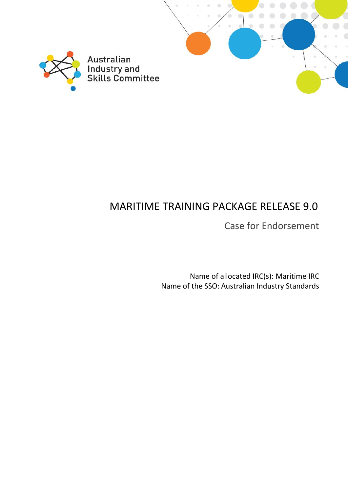

# MARITIME TRAINING PACKAGE RELEASE 9.0

Case for Endorsement

Name of allocated IRC(s): Maritime IRC Name of the SSO: Australian Industry Standards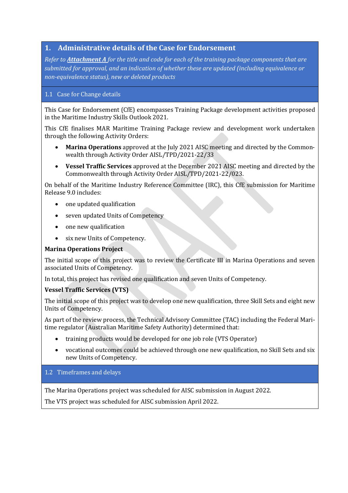### **1. Administrative details of the Case for Endorsement**

*Refer to [Attachment A](#page-9-0) for the title and code for each of the training package components that are submitted for approval, and an indication of whether these are updated (including equivalence or non-equivalence status), new or deleted products*

#### 1.1 Case for Change details

This Case for Endorsement (CfE) encompasses Training Package development activities proposed in the Maritime Industry Skills Outlook 2021.

This CfE finalises MAR Maritime Training Package review and development work undertaken through the following Activity Orders:

- **Marina Operations** approved at the July 2021 AISC meeting and directed by the Commonwealth through Activity Order AISL/TPD/2021-22/33
- **Vessel Traffic Services** approved at the December 2021 AISC meeting and directed by the Commonwealth through Activity Order AISL/TPD/2021-22/023.

On behalf of the Maritime Industry Reference Committee (IRC), this CfE submission for Maritime Release 9.0 includes:

- one updated qualification
- seven updated Units of Competency
- one new qualification
- six new Units of Competency.

#### **Marina Operations Project**

The initial scope of this project was to review the Certificate III in Marina Operations and seven associated Units of Competency.

In total, this project has revised one qualification and seven Units of Competency.

#### **Vessel Traffic Services (VTS)**

The initial scope of this project was to develop one new qualification, three Skill Sets and eight new Units of Competency.

As part of the review process, the Technical Advisory Committee (TAC) including the Federal Maritime regulator (Australian Maritime Safety Authority) determined that:

- training products would be developed for one job role (VTS Operator)
- vocational outcomes could be achieved through one new qualification, no Skill Sets and six new Units of Competency.

1.2 Timeframes and delays

The Marina Operations project was scheduled for AISC submission in August 2022.

The VTS project was scheduled for AISC submission April 2022.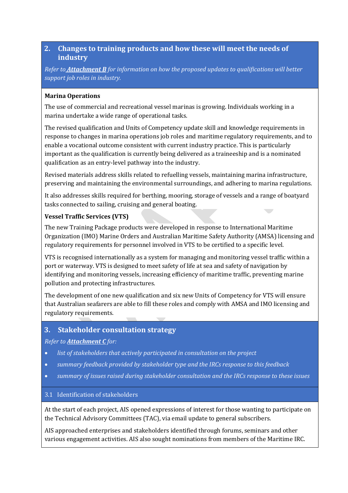### **2. Changes to training products and how these will meet the needs of industry**

*Refer to [Attachment B](#page-10-0) for information on how the proposed updates to qualifications will better support job roles in industry.*

#### **Marina Operations**

The use of commercial and recreational vessel marinas is growing. Individuals working in a marina undertake a wide range of operational tasks.

The revised qualification and Units of Competency update skill and knowledge requirements in response to changes in marina operations job roles and maritime regulatory requirements, and to enable a vocational outcome consistent with current industry practice. This is particularly important as the qualification is currently being delivered as a traineeship and is a nominated qualification as an entry-level pathway into the industry.

Revised materials address skills related to refuelling vessels, maintaining marina infrastructure, preserving and maintaining the environmental surroundings, and adhering to marina regulations.

It also addresses skills required for berthing, mooring, storage of vessels and a range of boatyard tasks connected to sailing, cruising and general boating.

#### **Vessel Traffic Services (VTS)**

The new Training Package products were developed in response to International Maritime Organization (IMO) Marine Orders and Australian Maritime Safety Authority (AMSA) licensing and regulatory requirements for personnel involved in VTS to be certified to a specific level.

VTS is recognised internationally as a system for managing and monitoring vessel traffic within a port or waterway. VTS is designed to meet safety of life at sea and safety of navigation by identifying and monitoring vessels, increasing efficiency of maritime traffic, preventing marine pollution and protecting infrastructures.

The development of one new qualification and six new Units of Competency for VTS will ensure that Australian seafarers are able to fill these roles and comply with AMSA and IMO licensing and regulatory requirements.

### **3. Stakeholder consultation strategy**

*Refer to [Attachment C](#page-11-0) for:*

- list of stakeholders that actively participated in consultation on the project
- *summary feedback provided by stakeholder type and the IRCs response to this feedback*
- *summary of issues raised during stakeholder consultation and the IRCs response to these issues*

#### 3.1 Identification of stakeholders

At the start of each project, AIS opened expressions of interest for those wanting to participate on the Technical Advisory Committees (TAC), via email update to general subscribers.

AIS approached enterprises and stakeholders identified through forums, seminars and other various engagement activities. AIS also sought nominations from members of the Maritime IRC.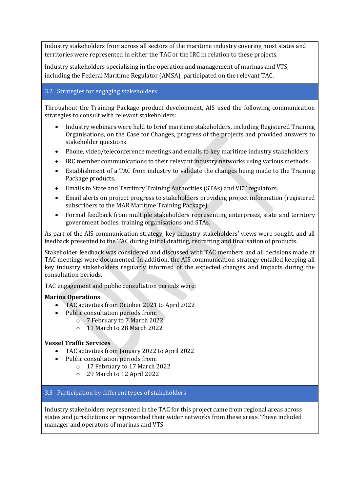Industry stakeholders from across all sectors of the maritime industry covering most states and territories were represented in either the TAC or the IRC in relation to these projects.

Industry stakeholders specialising in the operation and management of marinas and VTS, including the Federal Maritime Regulator (AMSA), participated on the relevant TAC.

#### 3.2 Strategies for engaging stakeholders

Throughout the Training Package product development, AIS used the following communication strategies to consult with relevant stakeholders:

- Industry webinars were held to brief maritime stakeholders, including Registered Training Organisations, on the Case for Changes, progress of the projects and provided answers to stakeholder questions.
- Phone, video/teleconference meetings and emails to key maritime industry stakeholders.
- IRC member communications to their relevant industry networks using various methods.
- Establishment of a TAC from industry to validate the changes being made to the Training Package products.
- Emails to State and Territory Training Authorities (STAs) and VET regulators.
- Email alerts on project progress to stakeholders providing project information (registered subscribers to the MAR Maritime Training Package).
- Formal feedback from multiple stakeholders representing enterprises, state and territory government bodies, training organisations and STAs.

As part of the AIS communication strategy, key industry stakeholders' views were sought, and all feedback presented to the TAC during initial drafting, redrafting and finalisation of products.

Stakeholder feedback was considered and discussed with TAC members and all decisions made at TAC meetings were documented. In addition, the AIS communication strategy entailed keeping all key industry stakeholders regularly informed of the expected changes and impacts during the consultation periods.

TAC engagement and public consultation periods were:

#### **Marina Operations**

- TAC activities from October 2021 to April 2022
- Public consultation periods from:
	- o 7 February to 7 March 2022
	- o 11 March to 28 March 2022

#### **Vessel Traffic Services**

- TAC activities from January 2022 to April 2022
- Public consultation periods from:
	- o 17 February to 17 March 2022
		- o 29 March to 12 April 2022

#### 3.3 Participation by different types of stakeholders

Industry stakeholders represented in the TAC for this project came from regional areas across states and jurisdictions or represented their wider networks from these areas. These included manager and operators of marinas and VTS.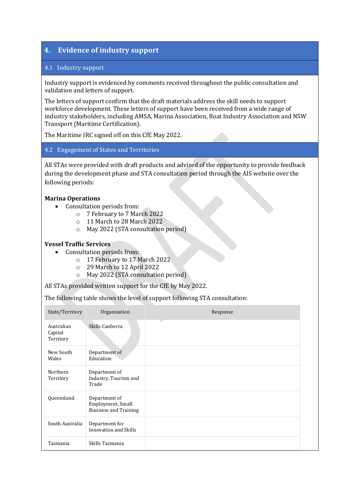### **4. Evidence of industry support**

#### 4.1 Industry support

Industry support is evidenced by comments received throughout the public consultation and validation and letters of support.

The letters of support confirm that the draft materials address the skill needs to support workforce development. These letters of support have been received from a wide range of industry stakeholders, including AMSA, Marina Association, Boat Industry Association and NSW Transport (Maritime Certification).

The Maritime IRC signed off on this CfE May 2022.

#### 4.2 Engagement of States and Territories

All STAs were provided with draft products and advised of the opportunity to provide feedback during the development phase and STA consultation period through the AIS website over the following periods:

#### **Marina Operations**

- Consultation periods from:
	- o 7 February to 7 March 2022
	- o 11 March to 28 March 2022
	- o May 2022 (STA consultation period)

#### **Vessel Traffic Services**

- Consultation periods from:
	- o 17 February to 17 March 2022
	- o 29 March to 12 April 2022
	- o May 2022 (STA consultation period)

All STAs provided written support for the CfE by May 2022.

The following table shows the level of support following STA consultation:

| State/Territory                    | Organisation                                                       | Response |
|------------------------------------|--------------------------------------------------------------------|----------|
| Australian<br>Capital<br>Territory | Skills Canberra                                                    |          |
| New South<br>Wales                 | Department of<br>Education                                         |          |
| Northern<br>Territory              | Department of<br>Industry, Tourism and<br>Trade                    |          |
| Queensland                         | Department of<br>Employment, Small<br><b>Business and Training</b> |          |
| South Australia                    | Department for<br>Innovation and Skills                            |          |
| Tasmania                           | Skills Tasmania                                                    |          |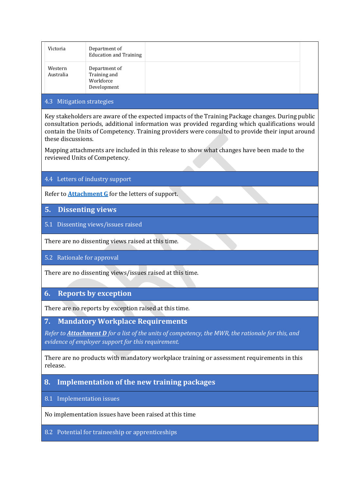| Victoria             | Department of<br><b>Education and Training</b>            |  |
|----------------------|-----------------------------------------------------------|--|
| Western<br>Australia | Department of<br>Training and<br>Workforce<br>Development |  |

#### 4.3 Mitigation strategies

Key stakeholders are aware of the expected impacts of the Training Package changes. During public consultation periods, additional information was provided regarding which qualifications would contain the Units of Competency. Training providers were consulted to provide their input around these discussions.

Mapping attachments are included in this release to show what changes have been made to the reviewed Units of Competency.

|  | 4.4 Letters of industry support |  |  |  |  |
|--|---------------------------------|--|--|--|--|
|--|---------------------------------|--|--|--|--|

Refer to **[Attachment G](#page-34-0)** for the letters of support.

- **5. Dissenting views**
- 5.1 Dissenting views/issues raised

There are no dissenting views raised at this time.

5.2 Rationale for approval

There are no dissenting views/issues raised at this time.

### **6. Reports by exception**

There are no reports by exception raised at this time.

**7. Mandatory Workplace Requirements** 

*Refer to [Attachment D](#page-16-0) for a list of the units of competency, the MWR, the rationale for this, and evidence of employer support for this requirement.*

There are no products with mandatory workplace training or assessment requirements in this release.

**8. Implementation of the new training packages** 

#### 8.1 Implementation issues

No implementation issues have been raised at this time

8.2 Potential for traineeship or apprenticeships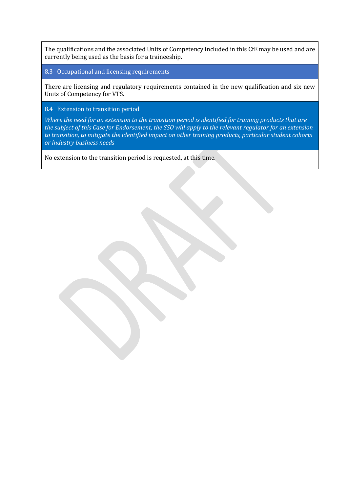The qualifications and the associated Units of Competency included in this CfE may be used and are currently being used as the basis for a traineeship.

8.3 Occupational and licensing requirements

There are licensing and regulatory requirements contained in the new qualification and six new Units of Competency for VTS.

8.4 Extension to transition period

*Where the need for an extension to the transition period is identified for training products that are the subject of this Case for Endorsement, the SSO will apply to the relevant regulator for an extension to transition, to mitigate the identified impact on other training products, particular student cohorts or industry business needs*

No extension to the transition period is requested, at this time.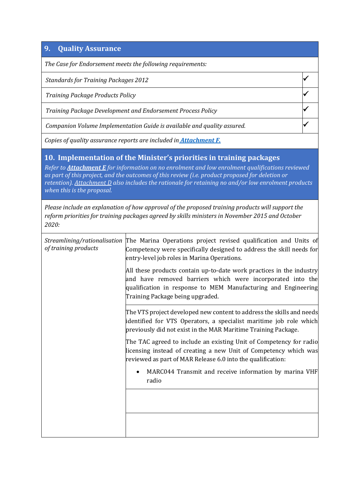### **9. Quality Assurance**

*The Case for Endorsement meets the following requirements:* 

**Standards for Training Packages 2012** 

*Training Package Products Policy* 

o *Training Package Development and Endorsement Process Policy* ✓

Companion Volume Implementation Guide is available and quality assured.

*Copies of quality assurance reports are included in [Attachment F.](#page-18-0)*

#### **10. Implementation of the Minister's priorities in training packages**

*Refer to [Attachment E](#page-16-1) for information on no enrolment and low enrolment qualifications reviewed as part of this project, and the outcomes of this review (i.e. product proposed for deletion or retention). [Attachment D](#page-16-0) also includes the rationale for retaining no and/or low enrolment products when this is the proposal.* 

*Please include an explanation of how approval of the proposed training products will support the reform priorities for training packages agreed by skills ministers in November 2015 and October 2020:*

| of training products | <i>Streamlining/rationalisation</i> The Marina Operations project revised qualification and Units of<br>Competency were specifically designed to address the skill needs for<br>entry-level job roles in Marina Operations.              |
|----------------------|------------------------------------------------------------------------------------------------------------------------------------------------------------------------------------------------------------------------------------------|
|                      | All these products contain up-to-date work practices in the industry<br>and have removed barriers which were incorporated into the<br>qualification in response to MEM Manufacturing and Engineering<br>Training Package being upgraded. |
|                      | The VTS project developed new content to address the skills and needs<br>identified for VTS Operators, a specialist maritime job role which<br>previously did not exist in the MAR Maritime Training Package.                            |
|                      | The TAC agreed to include an existing Unit of Competency for radio<br>licensing instead of creating a new Unit of Competency which was<br>reviewed as part of MAR Release 6.0 into the qualification:                                    |
|                      | MARC044 Transmit and receive information by marina VHF<br>radio                                                                                                                                                                          |
|                      |                                                                                                                                                                                                                                          |
|                      |                                                                                                                                                                                                                                          |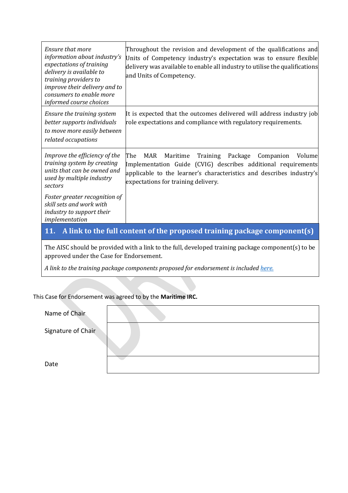| Ensure that more<br>information about industry's<br>expectations of training<br>delivery is available to<br>training providers to<br><i>improve their delivery and to</i><br>consumers to enable more<br>informed course choices | Throughout the revision and development of the qualifications and<br>Units of Competency industry's expectation was to ensure flexible<br>delivery was available to enable all industry to utilise the qualifications<br>and Units of Competency.    |
|----------------------------------------------------------------------------------------------------------------------------------------------------------------------------------------------------------------------------------|------------------------------------------------------------------------------------------------------------------------------------------------------------------------------------------------------------------------------------------------------|
| Ensure the training system<br>better supports individuals<br>to move more easily between<br>related occupations                                                                                                                  | It is expected that the outcomes delivered will address industry job<br>role expectations and compliance with regulatory requirements.                                                                                                               |
| Improve the efficiency of the<br>training system by creating<br>units that can be owned and<br>used by multiple industry<br>sectors                                                                                              | The<br>MAR<br>Maritime<br>Training<br>Package<br>Companion<br>Volume<br>Implementation Guide (CVIG) describes additional requirements<br>applicable to the learner's characteristics and describes industry's<br>expectations for training delivery. |
| Foster greater recognition of<br>skill sets and work with<br>industry to support their<br>implementation                                                                                                                         |                                                                                                                                                                                                                                                      |

## **11. A link to the full content of the proposed training package component(s)**

The AISC should be provided with a link to the full, developed training package component(s) to be approved under the Case for Endorsement.

*A link to the training package components proposed for endorsement is include[d here.](https://austindustrystandards.sharepoint.com/:f:/s/pwa/TLI%20Release%2012.0/EmbuMPLEawlDgXlD26L68c8B0Fyu8JTODUfQXtWfCmCS-A?e=WxrA9M)* 

#### This Case for Endorsement was agreed to by the **Maritime IRC.**

| Name of Chair      |  |
|--------------------|--|
| Signature of Chair |  |
| Date               |  |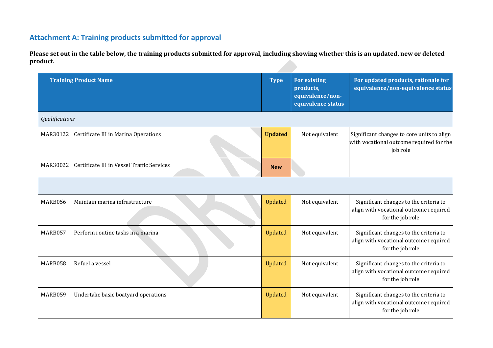## **Attachment A: Training products submitted for approval**

**Please set out in the table below, the training products submitted for approval, including showing whether this is an updated, new or deleted product.**

<span id="page-9-0"></span>

| <b>Training Product Name</b>                        | Type           | <b>For existing</b><br>products,<br>equivalence/non-<br>equivalence status | For updated products, rationale for<br>equivalence/non-equivalence status                            |
|-----------------------------------------------------|----------------|----------------------------------------------------------------------------|------------------------------------------------------------------------------------------------------|
| Qualifications                                      |                |                                                                            |                                                                                                      |
| MAR30122 Certificate III in Marina Operations       | <b>Updated</b> | Not equivalent                                                             | Significant changes to core units to align<br>with vocational outcome required for the<br>job role   |
| MAR30022 Certificate III in Vessel Traffic Services | <b>New</b>     |                                                                            |                                                                                                      |
|                                                     |                |                                                                            |                                                                                                      |
| Maintain marina infrastructure<br>MARB056           | Updated        | Not equivalent                                                             | Significant changes to the criteria to<br>align with vocational outcome required<br>for the job role |
| MARB057<br>Perform routine tasks in a marina        | Updated        | Not equivalent                                                             | Significant changes to the criteria to<br>align with vocational outcome required<br>for the job role |
| Refuel a vessel<br>MARB058                          | Updated        | Not equivalent                                                             | Significant changes to the criteria to<br>align with vocational outcome required<br>for the job role |
| MARB059<br>Undertake basic boatyard operations      | Updated        | Not equivalent                                                             | Significant changes to the criteria to<br>align with vocational outcome required<br>for the job role |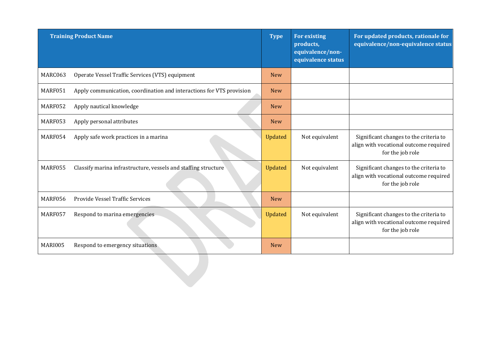<span id="page-10-0"></span>

| <b>Training Product Name</b> |                                                                      | <b>Type</b>    | <b>For existing</b><br>products,<br>equivalence/non- | For updated products, rationale for<br>equivalence/non-equivalence status                            |
|------------------------------|----------------------------------------------------------------------|----------------|------------------------------------------------------|------------------------------------------------------------------------------------------------------|
|                              |                                                                      |                | equivalence status                                   |                                                                                                      |
| MARC063                      | Operate Vessel Traffic Services (VTS) equipment                      | <b>New</b>     |                                                      |                                                                                                      |
| MARF051                      | Apply communication, coordination and interactions for VTS provision | <b>New</b>     |                                                      |                                                                                                      |
| MARF052                      | Apply nautical knowledge                                             | <b>New</b>     |                                                      |                                                                                                      |
| MARF053                      | Apply personal attributes                                            | <b>New</b>     |                                                      |                                                                                                      |
| MARF054                      | Apply safe work practices in a marina                                | <b>Updated</b> | Not equivalent                                       | Significant changes to the criteria to<br>align with vocational outcome required<br>for the job role |
| MARF055                      | Classify marina infrastructure, vessels and staffing structure       | <b>Updated</b> | Not equivalent                                       | Significant changes to the criteria to<br>align with vocational outcome required<br>for the job role |
| MARF056                      | Provide Vessel Traffic Services                                      | <b>New</b>     |                                                      |                                                                                                      |
| MARF057                      | Respond to marina emergencies                                        | <b>Updated</b> | Not equivalent                                       | Significant changes to the criteria to<br>align with vocational outcome required<br>for the job role |
| <b>MARI005</b>               | Respond to emergency situations                                      | <b>New</b>     |                                                      |                                                                                                      |
|                              |                                                                      |                |                                                      |                                                                                                      |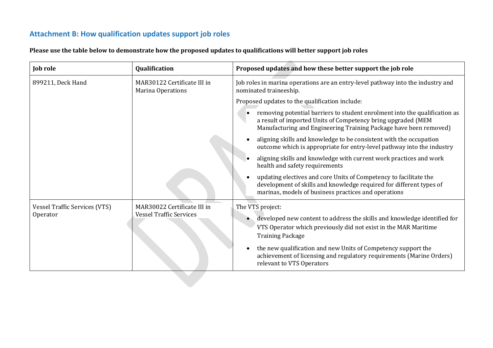## **Attachment B: How qualification updates support job roles**

<span id="page-11-0"></span>

| <b>Job role</b>                            | Qualification                                                                                                                                                                       | Proposed updates and how these better support the job role                                                                                                                                                                   |
|--------------------------------------------|-------------------------------------------------------------------------------------------------------------------------------------------------------------------------------------|------------------------------------------------------------------------------------------------------------------------------------------------------------------------------------------------------------------------------|
| 899211, Deck Hand                          | MAR30122 Certificate III in<br>Marina Operations                                                                                                                                    | Job roles in marina operations are an entry-level pathway into the industry and<br>nominated traineeship.                                                                                                                    |
|                                            |                                                                                                                                                                                     | Proposed updates to the qualification include:                                                                                                                                                                               |
|                                            |                                                                                                                                                                                     | removing potential barriers to student enrolment into the qualification as<br>$\bullet$<br>a result of imported Units of Competency bring upgraded (MEM<br>Manufacturing and Engineering Training Package have been removed) |
|                                            |                                                                                                                                                                                     | aligning skills and knowledge to be consistent with the occupation<br>outcome which is appropriate for entry-level pathway into the industry                                                                                 |
|                                            |                                                                                                                                                                                     | aligning skills and knowledge with current work practices and work<br>health and safety requirements                                                                                                                         |
|                                            |                                                                                                                                                                                     | updating electives and core Units of Competency to facilitate the<br>development of skills and knowledge required for different types of<br>marinas, models of business practices and operations                             |
| Vessel Traffic Services (VTS)              | MAR30022 Certificate III in                                                                                                                                                         | The VTS project:                                                                                                                                                                                                             |
| <b>Vessel Traffic Services</b><br>Operator | developed new content to address the skills and knowledge identified for<br>$\bullet$<br>VTS Operator which previously did not exist in the MAR Maritime<br><b>Training Package</b> |                                                                                                                                                                                                                              |
|                                            |                                                                                                                                                                                     | the new qualification and new Units of Competency support the<br>$\bullet$<br>achievement of licensing and regulatory requirements (Marine Orders)<br>relevant to VTS Operators                                              |

**Please use the table below to demonstrate how the proposed updates to qualifications will better support job roles**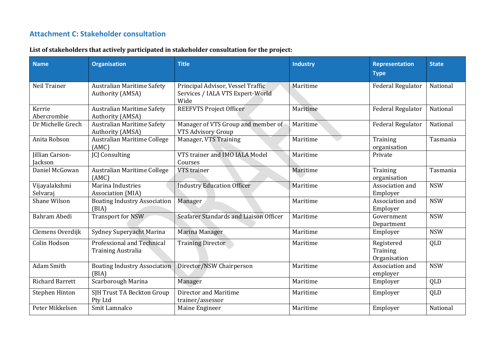## **Attachment C: Stakeholder consultation**

### **List of stakeholders that actively participated in stakeholder consultation for the project:**

| <b>Name</b>                | <b>Organisation</b>                                     | <b>Title</b>                                                                  | <b>Industry</b> | <b>Representation</b><br><b>Type</b>   | <b>State</b> |
|----------------------------|---------------------------------------------------------|-------------------------------------------------------------------------------|-----------------|----------------------------------------|--------------|
| Neil Trainer               | <b>Australian Maritime Safety</b><br>Authority (AMSA)   | Principal Advisor, Vessel Traffic<br>Services / IALA VTS Expert-World<br>Wide | Maritime        | <b>Federal Regulator</b>               | National     |
| Kerrie<br>Abercrombie      | <b>Australian Maritime Safety</b><br>Authority (AMSA)   | <b>REEFVTS Project Officer</b>                                                | Maritime        | <b>Federal Regulator</b>               | National     |
| Dr Michelle Grech          | <b>Australian Maritime Safety</b><br>Authority (AMSA)   | Manager of VTS Group and member of<br>VTS Advisory Group                      | Maritime        | <b>Federal Regulator</b>               | National     |
| Anita Robson               | Australian Maritime College<br>(AMC)                    | Manager, VTS Training                                                         | Maritime        | Training<br>organisation               | Tasmania     |
| Jillian Carson-<br>Jackson | <b>JCJ Consulting</b>                                   | VTS trainer and IMO IALA Model<br>Courses                                     | Maritime        | Private                                |              |
| Daniel McGowan             | Australian Maritime College<br>(AMC)                    | VTS trainer                                                                   | Maritime        | Training<br>organisation               | Tasmania     |
| Vijayalakshmi<br>Selvaraj  | Marina Industries<br>Association (MIA)                  | <b>Industry Education Officer</b>                                             | Maritime        | Association and<br>Employer            | <b>NSW</b>   |
| Shane Wilson               | <b>Boating Industry Association</b><br>(BIA)            | Manager                                                                       | Maritime        | Association and<br>Employer            | <b>NSW</b>   |
| Bahram Abedi               | <b>Transport for NSW</b>                                | Seafarer Standards and Liaison Officer                                        | Maritime        | Government<br>Department               | <b>NSW</b>   |
| Clemens Overdijk           | Sydney Superyacht Marina                                | Marina Manager                                                                | Maritime        | Employer                               | <b>NSW</b>   |
| Colin Hodson               | Professional and Technical<br><b>Training Australia</b> | <b>Training Director</b>                                                      | Maritime        | Registered<br>Training<br>Organisation | QLD          |
| <b>Adam Smith</b>          | <b>Boating Industry Association</b><br>(BIA)            | Director/NSW Chairperson                                                      | Maritime        | Association and<br>employer            | <b>NSW</b>   |
| <b>Richard Barrett</b>     | Scarborough Marina                                      | Manager                                                                       | Maritime        | Employer                               | QLD          |
| Stephen Hinton             | SJH Trust TA Beckton Group<br>Pty Ltd                   | Director and Maritime<br>trainer/assessor                                     | Maritime        | Employer                               | <b>QLD</b>   |
| Peter Mikkelsen            | Smit Lamnalco                                           | Maine Engineer                                                                | Maritime        | Employer                               | National     |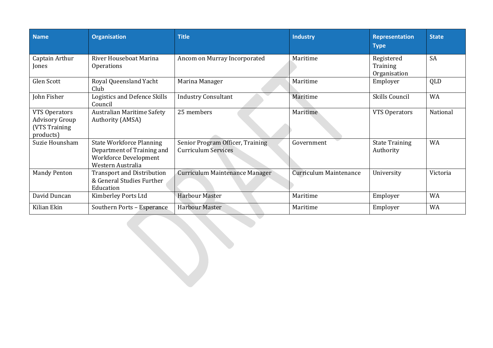| <b>Name</b>                                                   | <b>Organisation</b>                                                                                                | <b>Title</b>                                                   | <b>Industry</b>               | Representation<br><b>Type</b>          | <b>State</b> |
|---------------------------------------------------------------|--------------------------------------------------------------------------------------------------------------------|----------------------------------------------------------------|-------------------------------|----------------------------------------|--------------|
| Captain Arthur<br>Jones                                       | River Houseboat Marina<br><b>Operations</b>                                                                        | Ancom on Murray Incorporated                                   | Maritime                      | Registered<br>Training<br>Organisation | <b>SA</b>    |
| Glen Scott                                                    | Royal Queensland Yacht<br>Club                                                                                     | Marina Manager                                                 | Maritime                      | Employer                               | QLD          |
| John Fisher                                                   | <b>Logistics and Defence Skills</b><br>Council                                                                     | <b>Industry Consultant</b>                                     | Maritime                      | Skills Council                         | WA           |
| VTS Operators<br>Advisory Group<br>(VTS Training<br>products) | <b>Australian Maritime Safety</b><br>Authority (AMSA)                                                              | 25 members                                                     | Maritime                      | VTS Operators                          | National     |
| Suzie Hounsham                                                | <b>State Workforce Planning</b><br>Department of Training and<br><b>Workforce Development</b><br>Western Australia | Senior Program Officer, Training<br><b>Curriculum Services</b> | Government                    | <b>State Training</b><br>Authority     | <b>WA</b>    |
| <b>Mandy Penton</b>                                           | <b>Transport and Distribution</b><br>& General Studies Further<br>Education                                        | Curriculum Maintenance Manager                                 | <b>Curriculum Maintenance</b> | University                             | Victoria     |
| David Duncan                                                  | Kimberley Ports Ltd                                                                                                | <b>Harbour Master</b>                                          | Maritime                      | Employer                               | <b>WA</b>    |
| Kilian Ekin                                                   | Southern Ports - Esperance                                                                                         | <b>Harbour Master</b>                                          | Maritime                      | Employer                               | <b>WA</b>    |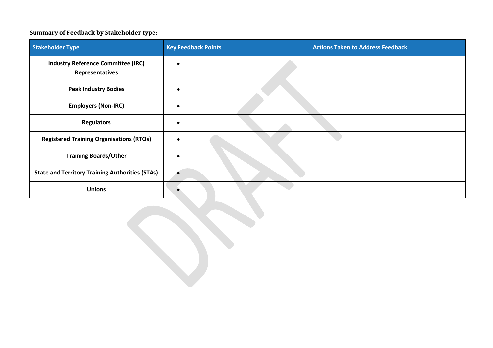## **Summary of Feedback by Stakeholder type:**

| <b>Stakeholder Type</b>                                      | <b>Key Feedback Points</b> | <b>Actions Taken to Address Feedback</b> |
|--------------------------------------------------------------|----------------------------|------------------------------------------|
| <b>Industry Reference Committee (IRC)</b><br>Representatives |                            |                                          |
| <b>Peak Industry Bodies</b>                                  |                            |                                          |
| <b>Employers (Non-IRC)</b>                                   |                            |                                          |
| <b>Regulators</b>                                            |                            |                                          |
| <b>Registered Training Organisations (RTOs)</b>              | $\bullet$                  |                                          |
| <b>Training Boards/Other</b>                                 |                            |                                          |
| <b>State and Territory Training Authorities (STAs)</b>       |                            |                                          |
| <b>Unions</b>                                                |                            |                                          |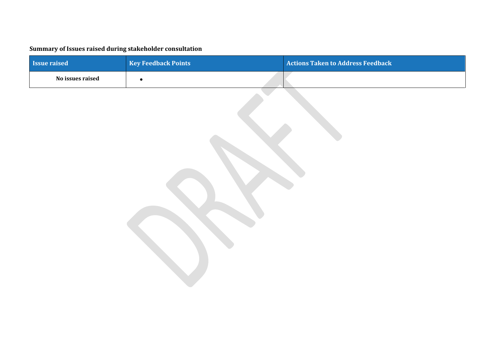## **Summary of Issues raised during stakeholder consultation**

| <b>Issue raised</b> | <b>Key Feedback Points</b> | Actions Taken to Address Feedback |
|---------------------|----------------------------|-----------------------------------|
| No issues raised    |                            |                                   |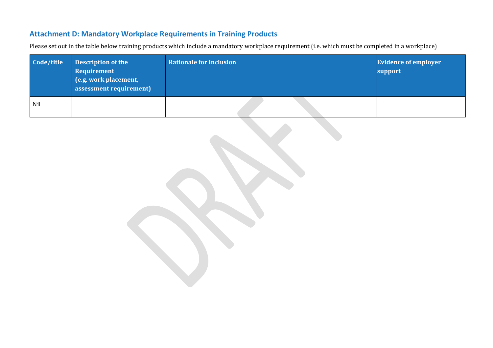## **Attachment D: Mandatory Workplace Requirements in Training Products**

Please set out in the table below training products which include a mandatory workplace requirement (i.e. which must be completed in a workplace)

<span id="page-16-1"></span><span id="page-16-0"></span>

| Code/title | <b>Description of the</b><br>Requirement<br>$\sqrt{2}$ (e.g. work placement, $\sqrt{2}$<br>assessment requirement) | <b>Rationale for Inclusion</b> | <b>Evidence of employer</b><br>support |
|------------|--------------------------------------------------------------------------------------------------------------------|--------------------------------|----------------------------------------|
| Nil        |                                                                                                                    |                                |                                        |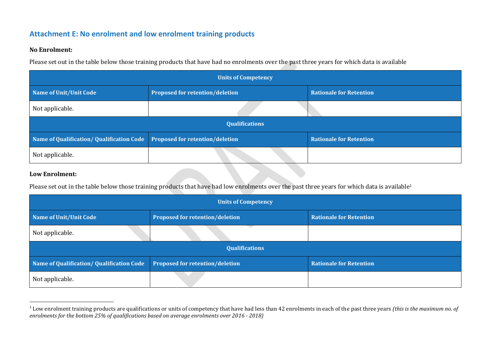## **Attachment E: No enrolment and low enrolment training products**

#### **No Enrolment:**

Please set out in the table below those training products that have had no enrolments over the past three years for which data is available

| <b>Units of Competency</b>                |                                        |                                |
|-------------------------------------------|----------------------------------------|--------------------------------|
| <b>Name of Unit/Unit Code</b>             | <b>Proposed for retention/deletion</b> | <b>Rationale for Retention</b> |
| Not applicable.                           |                                        |                                |
| <b>Qualifications</b>                     |                                        |                                |
| Name of Qualification/ Qualification Code | Proposed for retention/deletion        | <b>Rationale for Retention</b> |
| Not applicable.                           |                                        |                                |

#### **Low Enrolment:**

Please set out in the table below those training products that have had low enrolments over the past three years for which data is available<sup>1</sup>

| <b>Units of Competency</b>                 |                                        |                                |  |
|--------------------------------------------|----------------------------------------|--------------------------------|--|
| <b>Name of Unit/Unit Code</b>              | <b>Proposed for retention/deletion</b> | <b>Rationale for Retention</b> |  |
| Not applicable.                            |                                        |                                |  |
| <b>Qualifications</b>                      |                                        |                                |  |
| Name of Qualification / Qualification Code | <b>Proposed for retention/deletion</b> | <b>Rationale for Retention</b> |  |
| Not applicable.                            |                                        |                                |  |

<sup>&</sup>lt;sup>1</sup> Low enrolment training products are qualifications or units of competency that have had less than 42 enrolments in each of the past three years *(this is the maximum no. of enrolments for the bottom 25% of qualifications based on average enrolments over 2016 - 2018)*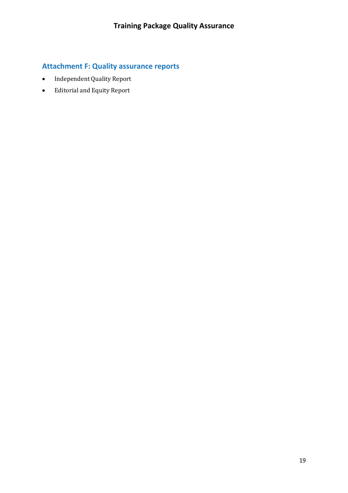## <span id="page-18-0"></span>**Attachment F: Quality assurance reports**

- Independent Quality Report
- Editorial and Equity Report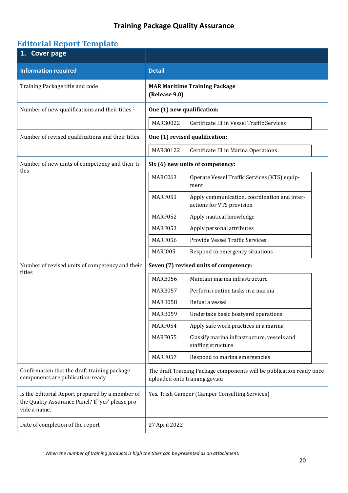# **Editorial Report Template**

| 1. Cover page                                                                                                        |                                                                                                       |                                                                           |
|----------------------------------------------------------------------------------------------------------------------|-------------------------------------------------------------------------------------------------------|---------------------------------------------------------------------------|
| <b>Information required</b>                                                                                          | <b>Detail</b>                                                                                         |                                                                           |
| Training Package title and code                                                                                      | (Release 9.0)                                                                                         | <b>MAR Maritime Training Package</b>                                      |
| Number of new qualifications and their titles <sup>1</sup>                                                           | One (1) new qualification:                                                                            |                                                                           |
|                                                                                                                      | MAR30022                                                                                              | Certificate III in Vessel Traffic Services                                |
| Number of revised qualifications and their titles                                                                    | One (1) revised qualification:                                                                        |                                                                           |
|                                                                                                                      | MAR30122                                                                                              | Certificate III in Marina Operations                                      |
| Number of new units of competency and their ti-<br>tles                                                              |                                                                                                       | Six (6) new units of competency:                                          |
|                                                                                                                      | MARC063                                                                                               | Operate Vessel Traffic Services (VTS) equip-<br>ment                      |
|                                                                                                                      | MARF051                                                                                               | Apply communication, coordination and inter-<br>actions for VTS provision |
|                                                                                                                      | MARF052                                                                                               | Apply nautical knowledge                                                  |
|                                                                                                                      | MARF053                                                                                               | Apply personal attributes                                                 |
|                                                                                                                      | MARF056                                                                                               | Provide Vessel Traffic Services                                           |
|                                                                                                                      | MARI005                                                                                               | Respond to emergency situations                                           |
| Number of revised units of competency and their<br>titles                                                            |                                                                                                       | Seven (7) revised units of competency:                                    |
|                                                                                                                      | MARB056                                                                                               | Maintain marina infrastructure                                            |
|                                                                                                                      | MARB057                                                                                               | Perform routine tasks in a marina                                         |
|                                                                                                                      | MARB058                                                                                               | Refuel a vessel                                                           |
|                                                                                                                      | MARB059                                                                                               | Undertake basic boatyard operations                                       |
|                                                                                                                      | MARF054                                                                                               | Apply safe work practices in a marina                                     |
|                                                                                                                      | MARF055                                                                                               | Classify marina infrastructure, vessels and<br>staffing structure         |
|                                                                                                                      | MARF057                                                                                               | Respond to marina emergencies                                             |
| Confirmation that the draft training package<br>components are publication-ready                                     | The draft Training Package components will be publication ready once<br>uploaded onto training.gov.au |                                                                           |
| Is the Editorial Report prepared by a member of<br>the Quality Assurance Panel? If 'yes' please pro-<br>vide a name. | Yes. Trish Gamper (Gamper Consulting Services)                                                        |                                                                           |
| Date of completion of the report                                                                                     | 27 April 2022                                                                                         |                                                                           |

<sup>1</sup> *When the number of training products is high the titles can be presented as an attachment.*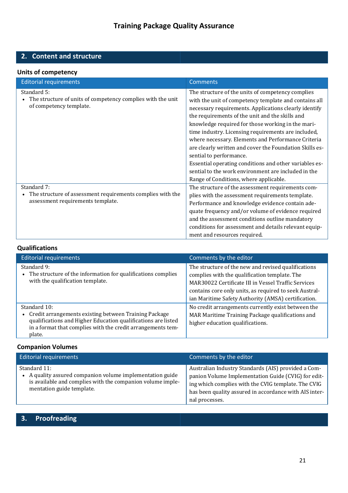## **2. Content and structure**

#### **Units of competency**

| <b>Editorial requirements</b>                                                                         | <b>Comments</b>                                                                                                                                                                                                                                                                                                                                                                                                                                                                                                                                                                                 |
|-------------------------------------------------------------------------------------------------------|-------------------------------------------------------------------------------------------------------------------------------------------------------------------------------------------------------------------------------------------------------------------------------------------------------------------------------------------------------------------------------------------------------------------------------------------------------------------------------------------------------------------------------------------------------------------------------------------------|
| Standard 5:<br>The structure of units of competency complies with the unit<br>of competency template. | The structure of the units of competency complies<br>with the unit of competency template and contains all<br>necessary requirements. Applications clearly identify<br>the requirements of the unit and the skills and<br>knowledge required for those working in the mari-<br>time industry. Licensing requirements are included,<br>where necessary. Elements and Performance Criteria<br>are clearly written and cover the Foundation Skills es-<br>sential to performance.<br>Essential operating conditions and other variables es-<br>sential to the work environment are included in the |
| Standard 7:                                                                                           | Range of Conditions, where applicable.<br>The structure of the assessment requirements com-                                                                                                                                                                                                                                                                                                                                                                                                                                                                                                     |
| The structure of assessment requirements complies with the<br>assessment requirements template.       | plies with the assessment requirements template.<br>Performance and knowledge evidence contain ade-<br>quate frequency and/or volume of evidence required<br>and the assessment conditions outline mandatory<br>conditions for assessment and details relevant equip-<br>ment and resources required.                                                                                                                                                                                                                                                                                           |

#### **Qualifications**

| <b>Editorial requirements</b>                                                                                                                                                                                   | Comments by the editor                                                                                                                                                                                                                                                       |
|-----------------------------------------------------------------------------------------------------------------------------------------------------------------------------------------------------------------|------------------------------------------------------------------------------------------------------------------------------------------------------------------------------------------------------------------------------------------------------------------------------|
| Standard 9:<br>• The structure of the information for qualifications complies<br>with the qualification template.                                                                                               | The structure of the new and revised qualifications<br>complies with the qualification template. The<br>MAR30022 Certificate III in Vessel Traffic Services<br>contains core only units, as required to seek Austral-<br>ian Maritime Safety Authority (AMSA) certification. |
| Standard 10:<br>Credit arrangements existing between Training Package<br>qualifications and Higher Education qualifications are listed<br>in a format that complies with the credit arrangements tem-<br>plate. | No credit arrangements currently exist between the<br>MAR Maritime Training Package qualifications and<br>higher education qualifications.                                                                                                                                   |

#### **Companion Volumes**

| <b>Editorial requirements</b>                                                                                                                                      | Comments by the editor                                                                                                                                                                                                                        |
|--------------------------------------------------------------------------------------------------------------------------------------------------------------------|-----------------------------------------------------------------------------------------------------------------------------------------------------------------------------------------------------------------------------------------------|
| Standard 11:<br>A quality assured companion volume implementation guide<br>is available and complies with the companion volume imple-<br>mentation guide template. | Australian Industry Standards (AIS) provided a Com-<br>panion Volume Implementation Guide (CVIG) for edit-<br>ing which complies with the CVIG template. The CVIG<br>has been quality assured in accordance with AIS inter-<br>nal processes. |

## **3. Proofreading**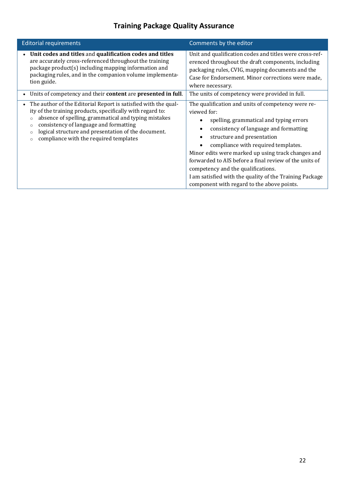| <b>Editorial requirements</b>                                                                                                                                                                                                                                                                                                                            | Comments by the editor                                                                                                                                                                                                                                                                                                                                                                                                                                                                                                            |
|----------------------------------------------------------------------------------------------------------------------------------------------------------------------------------------------------------------------------------------------------------------------------------------------------------------------------------------------------------|-----------------------------------------------------------------------------------------------------------------------------------------------------------------------------------------------------------------------------------------------------------------------------------------------------------------------------------------------------------------------------------------------------------------------------------------------------------------------------------------------------------------------------------|
| Unit codes and titles and qualification codes and titles<br>$\bullet$<br>are accurately cross-referenced throughout the training<br>package product(s) including mapping information and<br>packaging rules, and in the companion volume implementa-<br>tion guide.                                                                                      | Unit and qualification codes and titles were cross-ref-<br>erenced throughout the draft components, including<br>packaging rules, CVIG, mapping documents and the<br>Case for Endorsement. Minor corrections were made,<br>where necessary.                                                                                                                                                                                                                                                                                       |
| Units of competency and their <b>content</b> are <b>presented in full</b> .<br>$\bullet$                                                                                                                                                                                                                                                                 | The units of competency were provided in full.                                                                                                                                                                                                                                                                                                                                                                                                                                                                                    |
| The author of the Editorial Report is satisfied with the qual-<br>$\bullet$<br>ity of the training products, specifically with regard to:<br>absence of spelling, grammatical and typing mistakes<br>consistency of language and formatting<br>logical structure and presentation of the document.<br>$\Omega$<br>compliance with the required templates | The qualification and units of competency were re-<br>viewed for:<br>spelling, grammatical and typing errors<br>consistency of language and formatting<br>$\bullet$<br>structure and presentation<br>$\bullet$<br>compliance with required templates.<br>$\bullet$<br>Minor edits were marked up using track changes and<br>forwarded to AIS before a final review of the units of<br>competency and the qualifications.<br>I am satisfied with the quality of the Training Package<br>component with regard to the above points. |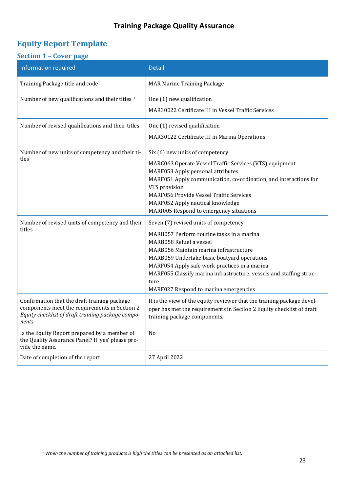## **Equity Report Template**

## **Section 1 – Cover page**

| <b>Information required</b>                                                                                                                                 | Detail                                                                                                                                                                                                                                                                                                                                                                          |
|-------------------------------------------------------------------------------------------------------------------------------------------------------------|---------------------------------------------------------------------------------------------------------------------------------------------------------------------------------------------------------------------------------------------------------------------------------------------------------------------------------------------------------------------------------|
| Training Package title and code                                                                                                                             | <b>MAR Marine Training Package</b>                                                                                                                                                                                                                                                                                                                                              |
| Number of new qualifications and their titles <sup>1</sup>                                                                                                  | One (1) new qualification<br>MAR30022 Certificate III in Vessel Traffic Services                                                                                                                                                                                                                                                                                                |
| Number of revised qualifications and their titles                                                                                                           | One (1) revised qualification<br>MAR30122 Certificate III in Marina Operations                                                                                                                                                                                                                                                                                                  |
| Number of new units of competency and their ti-<br>tles                                                                                                     | Six (6) new units of competency<br>MARC063 Operate Vessel Traffic Services (VTS) equipment<br>MARF053 Apply personal attributes<br>MARF051 Apply communication, co-ordination, and interactions for<br>VTS provision<br>MARF056 Provide Vessel Traffic Services<br>MARF052 Apply nautical knowledge<br>MARI005 Respond to emergency situations                                  |
| Number of revised units of competency and their<br>titles                                                                                                   | Seven (7) revised units of competency<br>MARB057 Perform routine tasks in a marina<br>MARB058 Refuel a vessel<br>MARB056 Maintain marina infrastructure<br>MARB059 Undertake basic boatyard operations<br>MARF054 Apply safe work practices in a marina<br>MARF055 Classify marina infrastructure, vessels and staffing struc-<br>ture<br>MARF027 Respond to marina emergencies |
| Confirmation that the draft training package<br>components meet the requirements in Section 2<br>Equity checklist of draft training package compo-<br>nents | It is the view of the equity reviewer that the training package devel-<br>oper has met the requirements in Section 2 Equity checklist of draft<br>training package components.                                                                                                                                                                                                  |
| Is the Equity Report prepared by a member of<br>the Quality Assurance Panel? If 'yes' please pro-<br>vide the name.                                         | No                                                                                                                                                                                                                                                                                                                                                                              |
| Date of completion of the report                                                                                                                            | 27 April 2022                                                                                                                                                                                                                                                                                                                                                                   |

<sup>1</sup> *When the number of training products is high* t*he titles can be presented as an attached list.*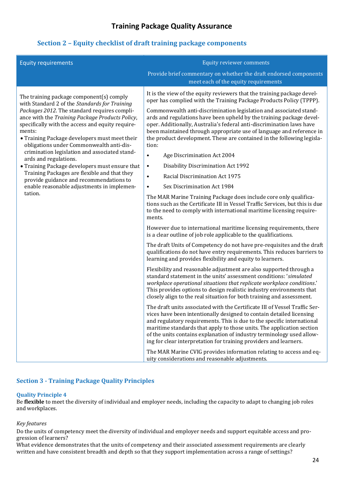#### **Section 2 – Equity checklist of draft training package components**

| <b>Equity requirements</b>                                                                                                                                                                                                                                                                                                                                                                                                                                                                                                                                                                                                              | <b>Equity reviewer comments</b><br>Provide brief commentary on whether the draft endorsed components                                                                                                                                                                                                                                                                                                                                                                                                                                                                                                                                                                                                                                                                                                                                                                                                                                                                                                                                                                                                                                                                                                                                                                                                                                                                                                                                                                                                                                                                                                                                                                                                                                                                                                                                                                                                                                                                                                                                                                                                                                                                                                  |
|-----------------------------------------------------------------------------------------------------------------------------------------------------------------------------------------------------------------------------------------------------------------------------------------------------------------------------------------------------------------------------------------------------------------------------------------------------------------------------------------------------------------------------------------------------------------------------------------------------------------------------------------|-------------------------------------------------------------------------------------------------------------------------------------------------------------------------------------------------------------------------------------------------------------------------------------------------------------------------------------------------------------------------------------------------------------------------------------------------------------------------------------------------------------------------------------------------------------------------------------------------------------------------------------------------------------------------------------------------------------------------------------------------------------------------------------------------------------------------------------------------------------------------------------------------------------------------------------------------------------------------------------------------------------------------------------------------------------------------------------------------------------------------------------------------------------------------------------------------------------------------------------------------------------------------------------------------------------------------------------------------------------------------------------------------------------------------------------------------------------------------------------------------------------------------------------------------------------------------------------------------------------------------------------------------------------------------------------------------------------------------------------------------------------------------------------------------------------------------------------------------------------------------------------------------------------------------------------------------------------------------------------------------------------------------------------------------------------------------------------------------------------------------------------------------------------------------------------------------------|
| The training package component(s) comply<br>with Standard 2 of the Standards for Training<br>Packages 2012. The standard requires compli-<br>ance with the Training Package Products Policy,<br>specifically with the access and equity require-<br>ments:<br>• Training Package developers must meet their<br>obligations under Commonwealth anti-dis-<br>crimination legislation and associated stand-<br>ards and regulations.<br>• Training Package developers must ensure that<br>Training Packages are flexible and that they<br>provide guidance and recommendations to<br>enable reasonable adjustments in implemen-<br>tation. | meet each of the equity requirements<br>It is the view of the equity reviewers that the training package devel-<br>oper has complied with the Training Package Products Policy (TPPP).<br>Commonwealth anti-discrimination legislation and associated stand-<br>ards and regulations have been upheld by the training package devel-<br>oper. Additionally, Australia's federal anti-discrimination laws have<br>been maintained through appropriate use of language and reference in<br>the product development. These are contained in the following legisla-<br>tion:<br>Age Discrimination Act 2004<br>$\bullet$<br>Disability Discrimination Act 1992<br>$\bullet$<br>Racial Discrimination Act 1975<br>$\bullet$<br>Sex Discrimination Act 1984<br>$\bullet$<br>The MAR Marine Training Package does include core only qualifica-<br>tions such as the Certificate III in Vessel Traffic Services, but this is due<br>to the need to comply with international maritime licensing require-<br>ments.<br>However due to international maritime licensing requirements, there<br>is a clear outline of job role applicable to the qualifications.<br>The draft Units of Competency do not have pre-requisites and the draft<br>qualifications do not have entry requirements. This reduces barriers to<br>learning and provides flexibility and equity to learners.<br>Flexibility and reasonable adjustment are also supported through a<br>standard statement in the units' assessment conditions: 'simulated<br>workplace operational situations that replicate workplace conditions.'<br>This provides options to design realistic industry environments that<br>closely align to the real situation for both training and assessment.<br>The draft units associated with the Certificate III of Vessel Traffic Ser-<br>vices have been intentionally designed to contain detailed licensing<br>and regulatory requirements. This is due to the specific international<br>maritime standards that apply to those units. The application section<br>of the units contains explanation of industry terminology used allow-<br>ing for clear interpretation for training providers and learners. |
|                                                                                                                                                                                                                                                                                                                                                                                                                                                                                                                                                                                                                                         | The MAR Marine CVIG provides information relating to access and eq-<br>uity considerations and reasonable adjustments.                                                                                                                                                                                                                                                                                                                                                                                                                                                                                                                                                                                                                                                                                                                                                                                                                                                                                                                                                                                                                                                                                                                                                                                                                                                                                                                                                                                                                                                                                                                                                                                                                                                                                                                                                                                                                                                                                                                                                                                                                                                                                |

#### **Section 3 - Training Package Quality Principles**

#### **Quality Principle 4**

Be **flexible** to meet the diversity of individual and employer needs, including the capacity to adapt to changing job roles and workplaces.

#### *Key features*

Do the units of competency meet the diversity of individual and employer needs and support equitable access and progression of learners?

What evidence demonstrates that the units of competency and their associated assessment requirements are clearly written and have consistent breadth and depth so that they support implementation across a range of settings?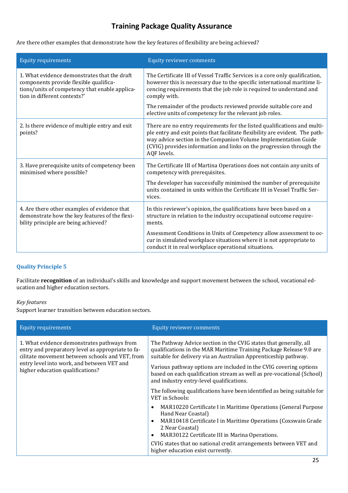Are there other examples that demonstrate how the key features of flexibility are being achieved?

| <b>Equity requirements</b>                                                                                                                                               | <b>Equity reviewer comments</b>                                                                                                                                                                                                                                                                                    |
|--------------------------------------------------------------------------------------------------------------------------------------------------------------------------|--------------------------------------------------------------------------------------------------------------------------------------------------------------------------------------------------------------------------------------------------------------------------------------------------------------------|
| 1. What evidence demonstrates that the draft<br>components provide flexible qualifica-<br>tions/units of competency that enable applica-<br>tion in different contexts?' | The Certificate III of Vessel Traffic Services is a core only qualification,<br>however this is necessary due to the specific international maritime li-<br>cencing requirements that the job role is required to understand and<br>comply with.                                                                   |
|                                                                                                                                                                          | The remainder of the products reviewed provide suitable core and<br>elective units of competency for the relevant job roles.                                                                                                                                                                                       |
| 2. Is there evidence of multiple entry and exit<br>points?                                                                                                               | There are no entry requirements for the listed qualifications and multi-<br>ple entry and exit points that facilitate flexibility are evident. The path-<br>way advice section in the Companion Volume Implementation Guide<br>(CVIG) provides information and links on the progression through the<br>AQF levels. |
| 3. Have prerequisite units of competency been<br>minimised where possible?                                                                                               | The Certificate III of Martina Operations does not contain any units of<br>competency with prerequisites.                                                                                                                                                                                                          |
|                                                                                                                                                                          | The developer has successfully minimised the number of prerequisite<br>units contained in units within the Certificate III in Vessel Traffic Ser-<br>vices.                                                                                                                                                        |
| 4. Are there other examples of evidence that<br>demonstrate how the key features of the flexi-<br>bility principle are being achieved?                                   | In this reviewer's opinion, the qualifications have been based on a<br>structure in relation to the industry occupational outcome require-<br>ments.                                                                                                                                                               |
|                                                                                                                                                                          | Assessment Conditions in Units of Competency allow assessment to oc-<br>cur in simulated workplace situations where it is not appropriate to<br>conduct it in real workplace operational situations.                                                                                                               |

#### **Quality Principle 5**

Facilitate **recognition** of an individual's skills and knowledge and support movement between the school, vocational education and higher education sectors.

#### *Key features*

Support learner transition between education sectors.

| <b>Equity requirements</b>                                                                                                                                                                                                            | <b>Equity reviewer comments</b>                                                                                                                                                                                                                                                                                                                                                                       |
|---------------------------------------------------------------------------------------------------------------------------------------------------------------------------------------------------------------------------------------|-------------------------------------------------------------------------------------------------------------------------------------------------------------------------------------------------------------------------------------------------------------------------------------------------------------------------------------------------------------------------------------------------------|
| 1. What evidence demonstrates pathways from<br>entry and preparatory level as appropriate to fa-<br>cilitate movement between schools and VET, from<br>entry level into work, and between VET and<br>higher education qualifications? | The Pathway Advice section in the CVIG states that generally, all<br>qualifications in the MAR Maritime Training Package Release 9.0 are<br>suitable for delivery via an Australian Apprenticeship pathway.<br>Various pathway options are included in the CVIG covering options<br>based on each qualification stream as well as pre-vocational (School)<br>and industry entry-level qualifications. |
|                                                                                                                                                                                                                                       | The following qualifications have been identified as being suitable for<br>VET in Schools:                                                                                                                                                                                                                                                                                                            |
|                                                                                                                                                                                                                                       | MAR10220 Certificate I in Maritime Operations (General Purpose<br>Hand Near Coastal)<br>MAR10418 Certificate I in Maritime Operations (Coxswain Grade<br>2 Near Coastal)<br>MAR30122 Certificate III in Marina Operations.<br>$\bullet$                                                                                                                                                               |
|                                                                                                                                                                                                                                       | CVIG states that no national credit arrangements between VET and<br>higher education exist currently.                                                                                                                                                                                                                                                                                                 |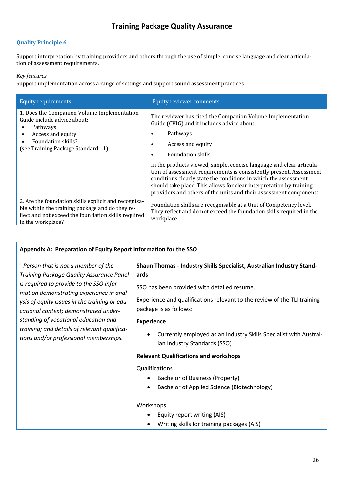#### **Quality Principle 6**

Support interpretation by training providers and others through the use of simple, concise language and clear articulation of assessment requirements.

#### *Key features*

Support implementation across a range of settings and support sound assessment practices.

| <b>Equity requirements</b>                                                                                                                                                                                     | <b>Equity reviewer comments</b>                                                                                                                                                                                                                                                                                                                                                                                                                                                                                                      |
|----------------------------------------------------------------------------------------------------------------------------------------------------------------------------------------------------------------|--------------------------------------------------------------------------------------------------------------------------------------------------------------------------------------------------------------------------------------------------------------------------------------------------------------------------------------------------------------------------------------------------------------------------------------------------------------------------------------------------------------------------------------|
| 1. Does the Companion Volume Implementation<br>Guide include advice about:<br>Pathways<br>$\bullet$<br>Access and equity<br>$\bullet$<br>Foundation skills?<br>$\bullet$<br>(see Training Package Standard 11) | The reviewer has cited the Companion Volume Implementation<br>Guide (CVIG) and it includes advice about:<br>Pathways<br>Access and equity<br><b>Foundation skills</b><br>In the products viewed, simple, concise language and clear articula-<br>tion of assessment requirements is consistently present. Assessment<br>conditions clearly state the conditions in which the assessment<br>should take place. This allows for clear interpretation by training<br>providers and others of the units and their assessment components. |
| 2. Are the foundation skills explicit and recognisa-<br>ble within the training package and do they re-<br>flect and not exceed the foundation skills required<br>in the workplace?                            | Foundation skills are recognisable at a Unit of Competency level.<br>They reflect and do not exceed the foundation skills required in the<br>workplace.                                                                                                                                                                                                                                                                                                                                                                              |

| Appendix A: Preparation of Equity Report Information for the SSO                                                                                                                                                                                                                                                                                                                                       |                                                                                                                                                                                                                                                                                                                                                                                                                                                                                                                                                                                                                                     |
|--------------------------------------------------------------------------------------------------------------------------------------------------------------------------------------------------------------------------------------------------------------------------------------------------------------------------------------------------------------------------------------------------------|-------------------------------------------------------------------------------------------------------------------------------------------------------------------------------------------------------------------------------------------------------------------------------------------------------------------------------------------------------------------------------------------------------------------------------------------------------------------------------------------------------------------------------------------------------------------------------------------------------------------------------------|
| $1$ Person that is not a member of the<br>Training Package Quality Assurance Panel<br>is required to provide to the SSO infor-<br>mation demonstrating experience in anal-<br>ysis of equity issues in the training or edu-<br>cational context; demonstrated under-<br>standing of vocational education and<br>training; and details of relevant qualifica-<br>tions and/or professional memberships. | Shaun Thomas - Industry Skills Specialist, Australian Industry Stand-<br>ards<br>SSO has been provided with detailed resume.<br>Experience and qualifications relevant to the review of the TLI training<br>package is as follows:<br><b>Experience</b><br>Currently employed as an Industry Skills Specialist with Austral-<br>٠<br>ian Industry Standards (SSO)<br><b>Relevant Qualifications and workshops</b><br>Qualifications<br><b>Bachelor of Business (Property)</b><br>Bachelor of Applied Science (Biotechnology)<br>$\bullet$<br>Workshops<br>Equity report writing (AIS)<br>Writing skills for training packages (AIS) |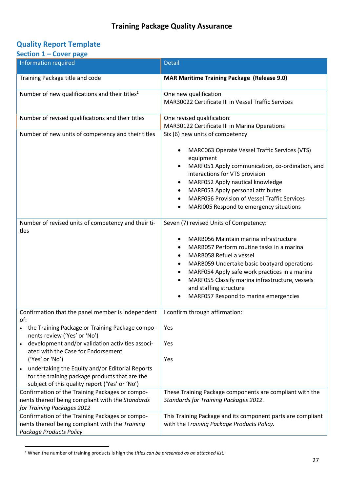## **Quality Report Template**

#### **Section 1 – Cover page**

| Information required                                                                                                                                                                                                                                                                                                                                                                                                                                                                         | <b>Detail</b>                                                                                                                                                                                                                                                                                                                                                                                                                           |
|----------------------------------------------------------------------------------------------------------------------------------------------------------------------------------------------------------------------------------------------------------------------------------------------------------------------------------------------------------------------------------------------------------------------------------------------------------------------------------------------|-----------------------------------------------------------------------------------------------------------------------------------------------------------------------------------------------------------------------------------------------------------------------------------------------------------------------------------------------------------------------------------------------------------------------------------------|
| Training Package title and code                                                                                                                                                                                                                                                                                                                                                                                                                                                              | <b>MAR Maritime Training Package (Release 9.0)</b>                                                                                                                                                                                                                                                                                                                                                                                      |
| Number of new qualifications and their titles <sup>1</sup>                                                                                                                                                                                                                                                                                                                                                                                                                                   | One new qualification<br>MAR30022 Certificate III in Vessel Traffic Services                                                                                                                                                                                                                                                                                                                                                            |
| Number of revised qualifications and their titles                                                                                                                                                                                                                                                                                                                                                                                                                                            | One revised qualification:<br>MAR30122 Certificate III in Marina Operations                                                                                                                                                                                                                                                                                                                                                             |
| Number of new units of competency and their titles                                                                                                                                                                                                                                                                                                                                                                                                                                           | Six (6) new units of competency<br>MARC063 Operate Vessel Traffic Services (VTS)<br>equipment<br>MARF051 Apply communication, co-ordination, and<br>interactions for VTS provision<br>MARF052 Apply nautical knowledge<br>٠<br>MARF053 Apply personal attributes<br>٠<br><b>MARF056 Provision of Vessel Traffic Services</b><br>$\bullet$<br>MARI005 Respond to emergency situations                                                    |
| Number of revised units of competency and their ti-<br>tles                                                                                                                                                                                                                                                                                                                                                                                                                                  | Seven (7) revised Units of Competency:<br>MARB056 Maintain marina infrastructure<br>MARB057 Perform routine tasks in a marina<br>$\bullet$<br>MARB058 Refuel a vessel<br>$\bullet$<br>MARB059 Undertake basic boatyard operations<br>٠<br>MARF054 Apply safe work practices in a marina<br>$\bullet$<br>MARF055 Classify marina infrastructure, vessels<br>and staffing structure<br>MARF057 Respond to marina emergencies<br>$\bullet$ |
| Confirmation that the panel member is independent<br>of:<br>the Training Package or Training Package compo-<br>nents review ('Yes' or 'No')<br>development and/or validation activities associ-<br>$\bullet$<br>ated with the Case for Endorsement<br>('Yes' or 'No')<br>undertaking the Equity and/or Editorial Reports<br>$\bullet$<br>for the training package products that are the<br>subject of this quality report ('Yes' or 'No')<br>Confirmation of the Training Packages or compo- | I confirm through affirmation:<br>Yes<br>Yes<br>Yes<br>These Training Package components are compliant with the                                                                                                                                                                                                                                                                                                                         |
| nents thereof being compliant with the Standards<br>for Training Packages 2012                                                                                                                                                                                                                                                                                                                                                                                                               | Standards for Training Packages 2012.                                                                                                                                                                                                                                                                                                                                                                                                   |
| Confirmation of the Training Packages or compo-<br>nents thereof being compliant with the Training<br><b>Package Products Policy</b>                                                                                                                                                                                                                                                                                                                                                         | This Training Package and its component parts are compliant<br>with the Training Package Products Policy.                                                                                                                                                                                                                                                                                                                               |

<sup>1</sup> When the number of training products is high the t*itles can be presented as an attached list.*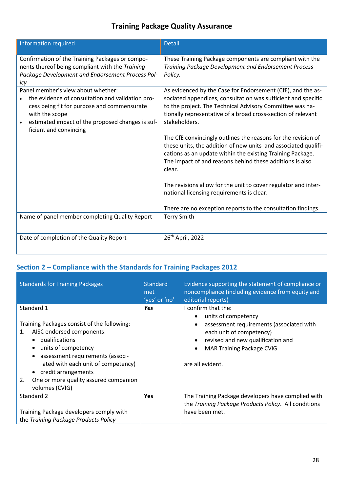| <b>Information required</b>                                                                                                                                                                                                                        | <b>Detail</b>                                                                                                                                                                                                                                                                                                                                                                                                                                                                                                                                                                                                                                                                                                                   |
|----------------------------------------------------------------------------------------------------------------------------------------------------------------------------------------------------------------------------------------------------|---------------------------------------------------------------------------------------------------------------------------------------------------------------------------------------------------------------------------------------------------------------------------------------------------------------------------------------------------------------------------------------------------------------------------------------------------------------------------------------------------------------------------------------------------------------------------------------------------------------------------------------------------------------------------------------------------------------------------------|
| Confirmation of the Training Packages or compo-<br>nents thereof being compliant with the Training<br>Package Development and Endorsement Process Pol-<br>icy                                                                                      | These Training Package components are compliant with the<br>Training Package Development and Endorsement Process<br>Policy.                                                                                                                                                                                                                                                                                                                                                                                                                                                                                                                                                                                                     |
| Panel member's view about whether:<br>the evidence of consultation and validation pro-<br>cess being fit for purpose and commensurate<br>with the scope<br>estimated impact of the proposed changes is suf-<br>$\bullet$<br>ficient and convincing | As evidenced by the Case for Endorsement (CfE), and the as-<br>sociated appendices, consultation was sufficient and specific<br>to the project. The Technical Advisory Committee was na-<br>tionally representative of a broad cross-section of relevant<br>stakeholders.<br>The CfE convincingly outlines the reasons for the revision of<br>these units, the addition of new units and associated qualifi-<br>cations as an update within the existing Training Package.<br>The impact of and reasons behind these additions is also<br>clear.<br>The revisions allow for the unit to cover regulator and inter-<br>national licensing requirements is clear.<br>There are no exception reports to the consultation findings. |
| Name of panel member completing Quality Report                                                                                                                                                                                                     | <b>Terry Smith</b>                                                                                                                                                                                                                                                                                                                                                                                                                                                                                                                                                                                                                                                                                                              |
| Date of completion of the Quality Report                                                                                                                                                                                                           | 26 <sup>th</sup> April, 2022                                                                                                                                                                                                                                                                                                                                                                                                                                                                                                                                                                                                                                                                                                    |

# **Section 2 – Compliance with the Standards for Training Packages 2012**

| <b>Standards for Training Packages</b>                                                                                                                                                                                                                                                                  | <b>Standard</b><br>met<br>'yes' or 'no' | Evidence supporting the statement of compliance or<br>noncompliance (including evidence from equity and<br>editorial reports)                                                                                   |
|---------------------------------------------------------------------------------------------------------------------------------------------------------------------------------------------------------------------------------------------------------------------------------------------------------|-----------------------------------------|-----------------------------------------------------------------------------------------------------------------------------------------------------------------------------------------------------------------|
| Standard 1<br>Training Packages consist of the following:<br>AISC endorsed components:<br>1.<br>qualifications<br>units of competency<br>assessment requirements (associ-<br>ated with each unit of competency)<br>credit arrangements<br>One or more quality assured companion<br>2.<br>volumes (CVIG) | <b>Yes</b>                              | I confirm that the:<br>units of competency<br>assessment requirements (associated with<br>each unit of competency)<br>revised and new qualification and<br><b>MAR Training Package CVIG</b><br>are all evident. |
| Standard 2<br>Training Package developers comply with<br>the Training Package Products Policy                                                                                                                                                                                                           | <b>Yes</b>                              | The Training Package developers have complied with<br>the Training Package Products Policy. All conditions<br>have been met.                                                                                    |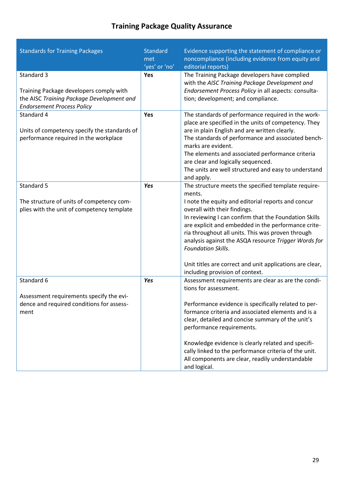| <b>Standards for Training Packages</b>                                                              | <b>Standard</b><br>met<br>'yes' or 'no' | Evidence supporting the statement of compliance or<br>noncompliance (including evidence from equity and<br>editorial reports)                                                                                                                                                                                                                          |
|-----------------------------------------------------------------------------------------------------|-----------------------------------------|--------------------------------------------------------------------------------------------------------------------------------------------------------------------------------------------------------------------------------------------------------------------------------------------------------------------------------------------------------|
| Standard 3                                                                                          | Yes                                     | The Training Package developers have complied<br>with the AISC Training Package Development and                                                                                                                                                                                                                                                        |
| Training Package developers comply with<br>the AISC Training Package Development and                |                                         | Endorsement Process Policy in all aspects: consulta-<br>tion; development; and compliance.                                                                                                                                                                                                                                                             |
| <b>Endorsement Process Policy</b>                                                                   |                                         |                                                                                                                                                                                                                                                                                                                                                        |
| Standard 4<br>Units of competency specify the standards of<br>performance required in the workplace | Yes                                     | The standards of performance required in the work-<br>place are specified in the units of competency. They<br>are in plain English and are written clearly.<br>The standards of performance and associated bench-<br>marks are evident.<br>The elements and associated performance criteria                                                            |
|                                                                                                     |                                         | are clear and logically sequenced.<br>The units are well structured and easy to understand<br>and apply.                                                                                                                                                                                                                                               |
| Standard 5                                                                                          | <b>Yes</b>                              | The structure meets the specified template require-                                                                                                                                                                                                                                                                                                    |
| The structure of units of competency com-<br>plies with the unit of competency template             |                                         | ments.<br>I note the equity and editorial reports and concur<br>overall with their findings.<br>In reviewing I can confirm that the Foundation Skills<br>are explicit and embedded in the performance crite-<br>ria throughout all units. This was proven through<br>analysis against the ASQA resource Trigger Words for<br><b>Foundation Skills.</b> |
|                                                                                                     |                                         | Unit titles are correct and unit applications are clear,<br>including provision of context.                                                                                                                                                                                                                                                            |
| Standard 6<br>Assessment requirements specify the evi-                                              | Yes                                     | Assessment requirements are clear as are the condi-<br>tions for assessment.                                                                                                                                                                                                                                                                           |
| dence and required conditions for assess-<br>ment                                                   |                                         | Performance evidence is specifically related to per-<br>formance criteria and associated elements and is a<br>clear, detailed and concise summary of the unit's<br>performance requirements.                                                                                                                                                           |
|                                                                                                     |                                         | Knowledge evidence is clearly related and specifi-<br>cally linked to the performance criteria of the unit.<br>All components are clear, readily understandable<br>and logical.                                                                                                                                                                        |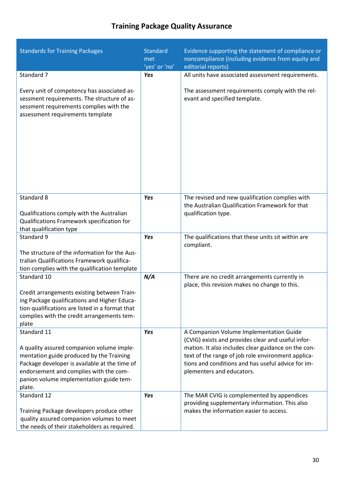| <b>Standards for Training Packages</b>                                                                                                                                    | <b>Standard</b><br>met<br>'yes' or 'no' | Evidence supporting the statement of compliance or<br>noncompliance (including evidence from equity and<br>editorial reports) |
|---------------------------------------------------------------------------------------------------------------------------------------------------------------------------|-----------------------------------------|-------------------------------------------------------------------------------------------------------------------------------|
| Standard 7                                                                                                                                                                | Yes                                     | All units have associated assessment requirements.                                                                            |
|                                                                                                                                                                           |                                         |                                                                                                                               |
| Every unit of competency has associated as-<br>sessment requirements. The structure of as-<br>sessment requirements complies with the<br>assessment requirements template |                                         | The assessment requirements comply with the rel-<br>evant and specified template.                                             |
|                                                                                                                                                                           |                                         |                                                                                                                               |
| Standard 8                                                                                                                                                                | <b>Yes</b>                              | The revised and new qualification complies with<br>the Australian Qualification Framework for that                            |
| Qualifications comply with the Australian                                                                                                                                 |                                         | qualification type.                                                                                                           |
| Qualifications Framework specification for                                                                                                                                |                                         |                                                                                                                               |
| that qualification type                                                                                                                                                   |                                         |                                                                                                                               |
| Standard 9                                                                                                                                                                | Yes                                     | The qualifications that these units sit within are<br>compliant.                                                              |
| The structure of the information for the Aus-                                                                                                                             |                                         |                                                                                                                               |
| tralian Qualifications Framework qualifica-                                                                                                                               |                                         |                                                                                                                               |
| tion complies with the qualification template                                                                                                                             |                                         |                                                                                                                               |
| Standard 10                                                                                                                                                               | N/A                                     | There are no credit arrangements currently in<br>place, this revision makes no change to this.                                |
| Credit arrangements existing between Train-                                                                                                                               |                                         |                                                                                                                               |
| ing Package qualifications and Higher Educa-                                                                                                                              |                                         |                                                                                                                               |
| tion qualifications are listed in a format that                                                                                                                           |                                         |                                                                                                                               |
| complies with the credit arrangements tem-                                                                                                                                |                                         |                                                                                                                               |
| plate                                                                                                                                                                     |                                         |                                                                                                                               |
| Standard 11                                                                                                                                                               | Yes                                     | A Companion Volume Implementation Guide                                                                                       |
|                                                                                                                                                                           |                                         | (CVIG) exists and provides clear and useful infor-<br>mation. It also includes clear guidance on the con-                     |
| A quality assured companion volume imple-<br>mentation guide produced by the Training                                                                                     |                                         | text of the range of job role environment applica-                                                                            |
| Package developer is available at the time of                                                                                                                             |                                         | tions and conditions and has useful advice for im-                                                                            |
| endorsement and complies with the com-                                                                                                                                    |                                         | plementers and educators.                                                                                                     |
| panion volume implementation guide tem-                                                                                                                                   |                                         |                                                                                                                               |
| plate.                                                                                                                                                                    |                                         |                                                                                                                               |
| Standard 12                                                                                                                                                               | <b>Yes</b>                              | The MAR CVIG is complemented by appendices                                                                                    |
|                                                                                                                                                                           |                                         | providing supplementary information. This also                                                                                |
| Training Package developers produce other                                                                                                                                 |                                         | makes the information easier to access.                                                                                       |
| quality assured companion volumes to meet                                                                                                                                 |                                         |                                                                                                                               |
| the needs of their stakeholders as required.                                                                                                                              |                                         |                                                                                                                               |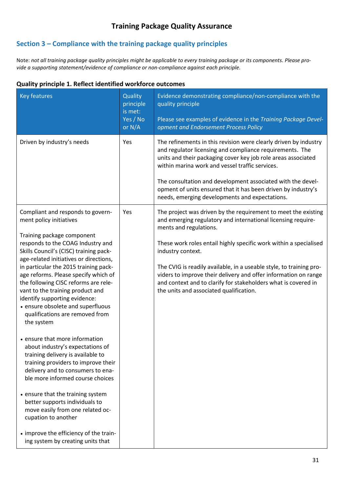## **Section 3 – Compliance with the training package quality principles**

Note: *not all training package quality principles might be applicable to every training package or its components. Please provide a supporting statement/evidence of compliance or non-compliance against each principle.*

#### **Quality principle 1. Reflect identified workforce outcomes**

| Key features                                                                                                                                                                                                                                                                                                                                                                                                                                                                                            | Quality<br>principle<br>is met:<br>Yes / No<br>or N/A | Evidence demonstrating compliance/non-compliance with the<br>quality principle<br>Please see examples of evidence in the Training Package Devel-<br>opment and Endorsement Process Policy                                                                                                                                                                                                                                                                                                                 |
|---------------------------------------------------------------------------------------------------------------------------------------------------------------------------------------------------------------------------------------------------------------------------------------------------------------------------------------------------------------------------------------------------------------------------------------------------------------------------------------------------------|-------------------------------------------------------|-----------------------------------------------------------------------------------------------------------------------------------------------------------------------------------------------------------------------------------------------------------------------------------------------------------------------------------------------------------------------------------------------------------------------------------------------------------------------------------------------------------|
| Driven by industry's needs                                                                                                                                                                                                                                                                                                                                                                                                                                                                              | Yes                                                   | The refinements in this revision were clearly driven by industry<br>and regulator licensing and compliance requirements. The<br>units and their packaging cover key job role areas associated<br>within marina work and vessel traffic services.<br>The consultation and development associated with the devel-<br>opment of units ensured that it has been driven by industry's<br>needs, emerging developments and expectations.                                                                        |
| Compliant and responds to govern-<br>ment policy initiatives<br>Training package component<br>responds to the COAG Industry and<br>Skills Council's (CISC) training pack-<br>age-related initiatives or directions,<br>in particular the 2015 training pack-<br>age reforms. Please specify which of<br>the following CISC reforms are rele-<br>vant to the training product and<br>identify supporting evidence:<br>• ensure obsolete and superfluous<br>qualifications are removed from<br>the system | Yes                                                   | The project was driven by the requirement to meet the existing<br>and emerging regulatory and international licensing require-<br>ments and regulations.<br>These work roles entail highly specific work within a specialised<br>industry context.<br>The CVIG is readily available, in a useable style, to training pro-<br>viders to improve their delivery and offer information on range<br>and context and to clarify for stakeholders what is covered in<br>the units and associated qualification. |
| • ensure that more information<br>about industry's expectations of<br>training delivery is available to<br>training providers to improve their<br>delivery and to consumers to ena-<br>ble more informed course choices<br>• ensure that the training system<br>better supports individuals to<br>move easily from one related oc-<br>cupation to another<br>• improve the efficiency of the train-<br>ing system by creating units that                                                                |                                                       |                                                                                                                                                                                                                                                                                                                                                                                                                                                                                                           |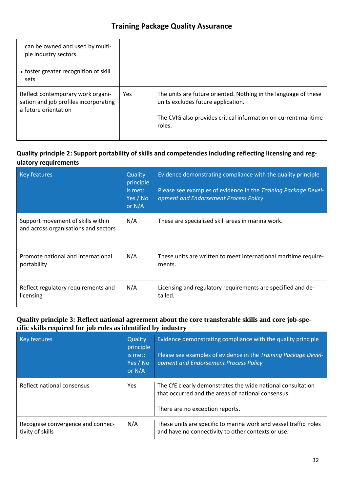| can be owned and used by multi-<br>ple industry sectors<br>• foster greater recognition of skill<br>sets |     |                                                                                                                                                                                    |
|----------------------------------------------------------------------------------------------------------|-----|------------------------------------------------------------------------------------------------------------------------------------------------------------------------------------|
| Reflect contemporary work organi-<br>sation and job profiles incorporating<br>a future orientation       | Yes | The units are future oriented. Nothing in the language of these<br>units excludes future application.<br>The CVIG also provides critical information on current maritime<br>roles. |

### **Quality principle 2: Support portability of skills and competencies including reflecting licensing and regulatory requirements**

| Key features                                                              | Quality<br>principle<br>is met:<br>Yes / No<br>or $N/A$ | Evidence demonstrating compliance with the quality principle<br>Please see examples of evidence in the Training Package Devel-<br>opment and Endorsement Process Policy |
|---------------------------------------------------------------------------|---------------------------------------------------------|-------------------------------------------------------------------------------------------------------------------------------------------------------------------------|
| Support movement of skills within<br>and across organisations and sectors | N/A                                                     | These are specialised skill areas in marina work.                                                                                                                       |
| Promote national and international<br>portability                         | N/A                                                     | These units are written to meet international maritime require-<br>ments.                                                                                               |
| Reflect regulatory requirements and<br>licensing                          | N/A                                                     | Licensing and regulatory requirements are specified and de-<br>tailed.                                                                                                  |

### **Quality principle 3: Reflect national agreement about the core transferable skills and core job-specific skills required for job roles as identified by industry**

| <b>Key features</b>                                   | Quality<br>principle<br>is met:<br>Yes / No<br>or $N/A$ | Evidence demonstrating compliance with the quality principle<br>Please see examples of evidence in the Training Package Devel-<br>opment and Endorsement Process Policy |
|-------------------------------------------------------|---------------------------------------------------------|-------------------------------------------------------------------------------------------------------------------------------------------------------------------------|
| Reflect national consensus                            | Yes.                                                    | The CfE clearly demonstrates the wide national consultation<br>that occurred and the areas of national consensus.<br>There are no exception reports.                    |
| Recognise convergence and connec-<br>tivity of skills | N/A                                                     | These units are specific to marina work and vessel traffic roles<br>and have no connectivity to other contexts or use.                                                  |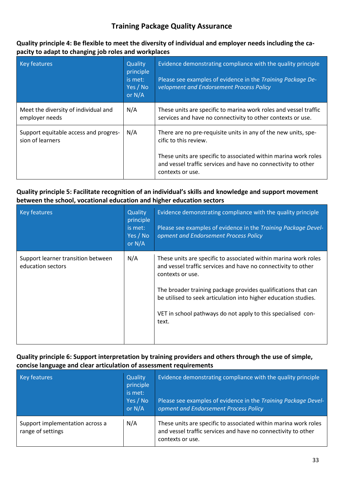#### **Quality principle 4: Be flexible to meet the diversity of individual and employer needs including the capacity to adapt to changing job roles and workplaces**

| <b>Key features</b>                                       | Quality<br>principle<br>is met:<br>Yes / No<br>or $N/A$ | Evidence demonstrating compliance with the quality principle<br>Please see examples of evidence in the Training Package De-<br>velopment and Endorsement Process Policy                                                                         |
|-----------------------------------------------------------|---------------------------------------------------------|-------------------------------------------------------------------------------------------------------------------------------------------------------------------------------------------------------------------------------------------------|
| Meet the diversity of individual and<br>employer needs    | N/A                                                     | These units are specific to marina work roles and vessel traffic<br>services and have no connectivity to other contexts or use.                                                                                                                 |
| Support equitable access and progres-<br>sion of learners | N/A                                                     | There are no pre-requisite units in any of the new units, spe-<br>cific to this review.<br>These units are specific to associated within marina work roles<br>and vessel traffic services and have no connectivity to other<br>contexts or use. |

#### **Quality principle 5: Facilitate recognition of an individual's skills and knowledge and support movement between the school, vocational education and higher education sectors**

| <b>Key features</b>                                     | <b>Quality</b><br>principle<br>is met:<br>Yes / No<br>or $N/A$ | Evidence demonstrating compliance with the quality principle<br>Please see examples of evidence in the Training Package Devel-<br>opment and Endorsement Process Policy                                                                                                                                                                                           |
|---------------------------------------------------------|----------------------------------------------------------------|-------------------------------------------------------------------------------------------------------------------------------------------------------------------------------------------------------------------------------------------------------------------------------------------------------------------------------------------------------------------|
| Support learner transition between<br>education sectors | N/A                                                            | These units are specific to associated within marina work roles<br>and vessel traffic services and have no connectivity to other<br>contexts or use.<br>The broader training package provides qualifications that can<br>be utilised to seek articulation into higher education studies.<br>VET in school pathways do not apply to this specialised con-<br>text. |

#### **Quality principle 6: Support interpretation by training providers and others through the use of simple, concise language and clear articulation of assessment requirements**

| Key features                                         | Quality<br>principle<br>is met:<br>Yes / No<br>or $N/A$ | Evidence demonstrating compliance with the quality principle<br>Please see examples of evidence in the Training Package Devel-<br>opment and Endorsement Process Policy |
|------------------------------------------------------|---------------------------------------------------------|-------------------------------------------------------------------------------------------------------------------------------------------------------------------------|
| Support implementation across a<br>range of settings | N/A                                                     | These units are specific to associated within marina work roles<br>and vessel traffic services and have no connectivity to other<br>contexts or use.                    |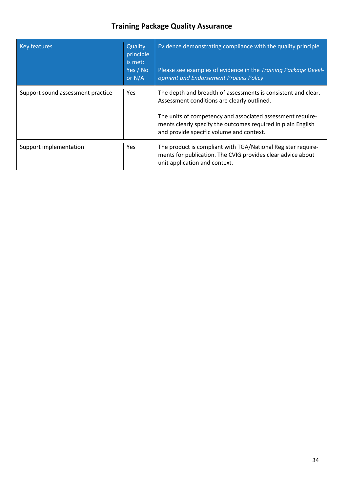| <b>Key features</b>               | Quality<br>principle<br>is met:<br>Yes / No<br>or $N/A$ | Evidence demonstrating compliance with the quality principle<br>Please see examples of evidence in the Training Package Devel-<br>opment and Endorsement Process Policy                                                                                                                |
|-----------------------------------|---------------------------------------------------------|----------------------------------------------------------------------------------------------------------------------------------------------------------------------------------------------------------------------------------------------------------------------------------------|
| Support sound assessment practice | Yes                                                     | The depth and breadth of assessments is consistent and clear.<br>Assessment conditions are clearly outlined.<br>The units of competency and associated assessment require-<br>ments clearly specify the outcomes required in plain English<br>and provide specific volume and context. |
| Support implementation            | Yes.                                                    | The product is compliant with TGA/National Register require-<br>ments for publication. The CVIG provides clear advice about<br>unit application and context.                                                                                                                           |